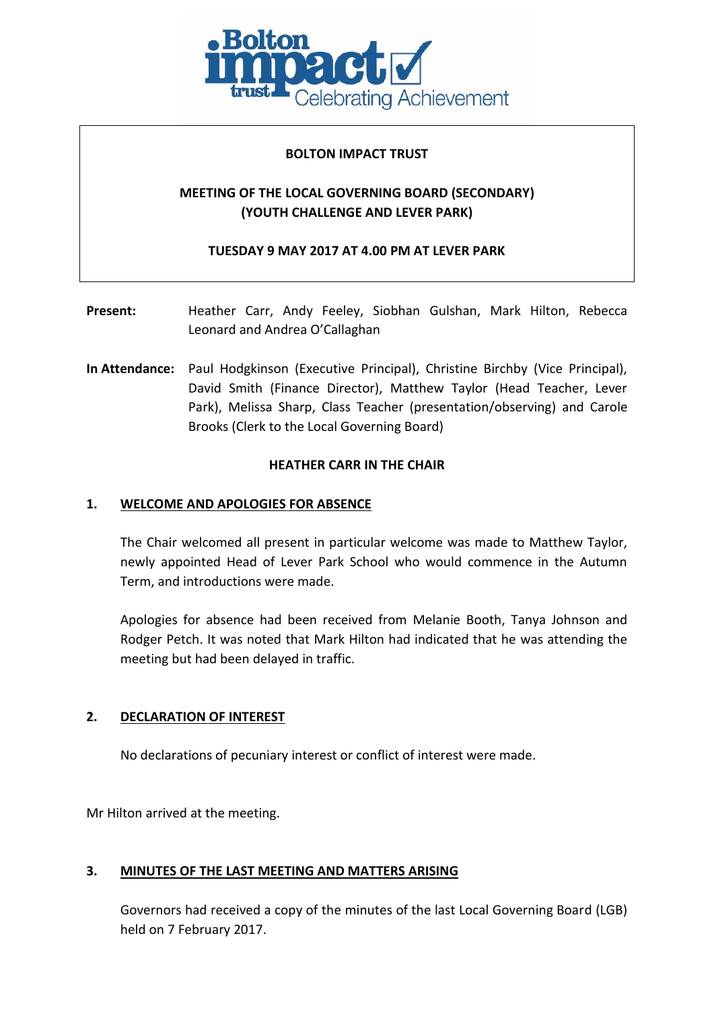

#### **BOLTON IMPACT TRUST**

# **MEETING OF THE LOCAL GOVERNING BOARD (SECONDARY) (YOUTH CHALLENGE AND LEVER PARK)**

**TUESDAY 9 MAY 2017 AT 4.00 PM AT LEVER PARK**

- Present: Heather Carr, Andy Feeley, Siobhan Gulshan, Mark Hilton, Rebecca Leonard and Andrea O'Callaghan
- **In Attendance:** Paul Hodgkinson (Executive Principal), Christine Birchby (Vice Principal), David Smith (Finance Director), Matthew Taylor (Head Teacher, Lever Park), Melissa Sharp, Class Teacher (presentation/observing) and Carole Brooks (Clerk to the Local Governing Board)

#### **HEATHER CARR IN THE CHAIR**

#### **1. WELCOME AND APOLOGIES FOR ABSENCE**

The Chair welcomed all present in particular welcome was made to Matthew Taylor, newly appointed Head of Lever Park School who would commence in the Autumn Term, and introductions were made.

Apologies for absence had been received from Melanie Booth, Tanya Johnson and Rodger Petch. It was noted that Mark Hilton had indicated that he was attending the meeting but had been delayed in traffic.

## **2. DECLARATION OF INTEREST**

No declarations of pecuniary interest or conflict of interest were made.

Mr Hilton arrived at the meeting.

## **3. MINUTES OF THE LAST MEETING AND MATTERS ARISING**

Governors had received a copy of the minutes of the last Local Governing Board (LGB) held on 7 February 2017.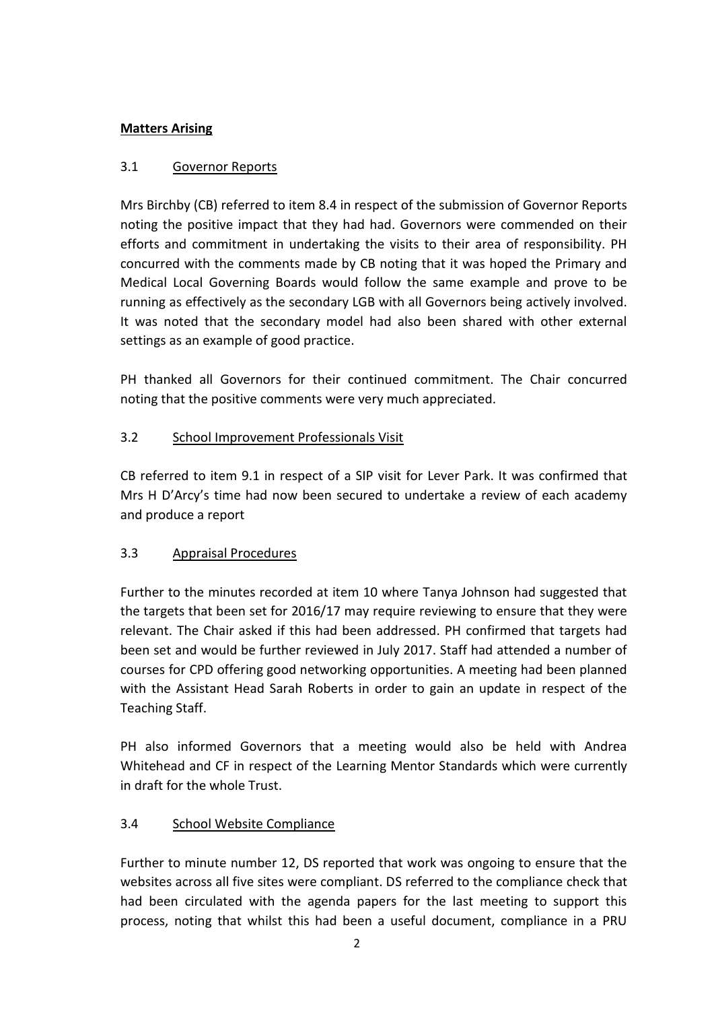# **Matters Arising**

# 3.1 Governor Reports

Mrs Birchby (CB) referred to item 8.4 in respect of the submission of Governor Reports noting the positive impact that they had had. Governors were commended on their efforts and commitment in undertaking the visits to their area of responsibility. PH concurred with the comments made by CB noting that it was hoped the Primary and Medical Local Governing Boards would follow the same example and prove to be running as effectively as the secondary LGB with all Governors being actively involved. It was noted that the secondary model had also been shared with other external settings as an example of good practice.

PH thanked all Governors for their continued commitment. The Chair concurred noting that the positive comments were very much appreciated.

# 3.2 School Improvement Professionals Visit

CB referred to item 9.1 in respect of a SIP visit for Lever Park. It was confirmed that Mrs H D'Arcy's time had now been secured to undertake a review of each academy and produce a report

# 3.3 Appraisal Procedures

Further to the minutes recorded at item 10 where Tanya Johnson had suggested that the targets that been set for 2016/17 may require reviewing to ensure that they were relevant. The Chair asked if this had been addressed. PH confirmed that targets had been set and would be further reviewed in July 2017. Staff had attended a number of courses for CPD offering good networking opportunities. A meeting had been planned with the Assistant Head Sarah Roberts in order to gain an update in respect of the Teaching Staff.

PH also informed Governors that a meeting would also be held with Andrea Whitehead and CF in respect of the Learning Mentor Standards which were currently in draft for the whole Trust.

## 3.4 School Website Compliance

Further to minute number 12, DS reported that work was ongoing to ensure that the websites across all five sites were compliant. DS referred to the compliance check that had been circulated with the agenda papers for the last meeting to support this process, noting that whilst this had been a useful document, compliance in a PRU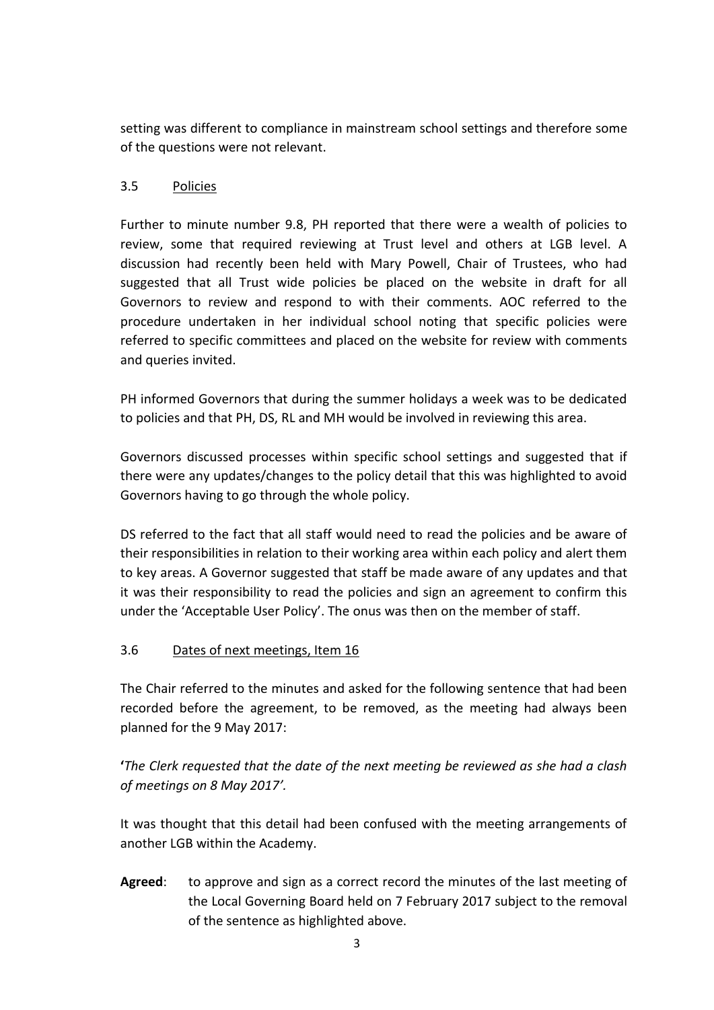setting was different to compliance in mainstream school settings and therefore some of the questions were not relevant.

## 3.5 Policies

Further to minute number 9.8, PH reported that there were a wealth of policies to review, some that required reviewing at Trust level and others at LGB level. A discussion had recently been held with Mary Powell, Chair of Trustees, who had suggested that all Trust wide policies be placed on the website in draft for all Governors to review and respond to with their comments. AOC referred to the procedure undertaken in her individual school noting that specific policies were referred to specific committees and placed on the website for review with comments and queries invited.

PH informed Governors that during the summer holidays a week was to be dedicated to policies and that PH, DS, RL and MH would be involved in reviewing this area.

Governors discussed processes within specific school settings and suggested that if there were any updates/changes to the policy detail that this was highlighted to avoid Governors having to go through the whole policy.

DS referred to the fact that all staff would need to read the policies and be aware of their responsibilities in relation to their working area within each policy and alert them to key areas. A Governor suggested that staff be made aware of any updates and that it was their responsibility to read the policies and sign an agreement to confirm this under the 'Acceptable User Policy'. The onus was then on the member of staff.

## 3.6 Dates of next meetings, Item 16

The Chair referred to the minutes and asked for the following sentence that had been recorded before the agreement, to be removed, as the meeting had always been planned for the 9 May 2017:

**'***The Clerk requested that the date of the next meeting be reviewed as she had a clash of meetings on 8 May 2017'.*

It was thought that this detail had been confused with the meeting arrangements of another LGB within the Academy.

**Agreed**: to approve and sign as a correct record the minutes of the last meeting of the Local Governing Board held on 7 February 2017 subject to the removal of the sentence as highlighted above.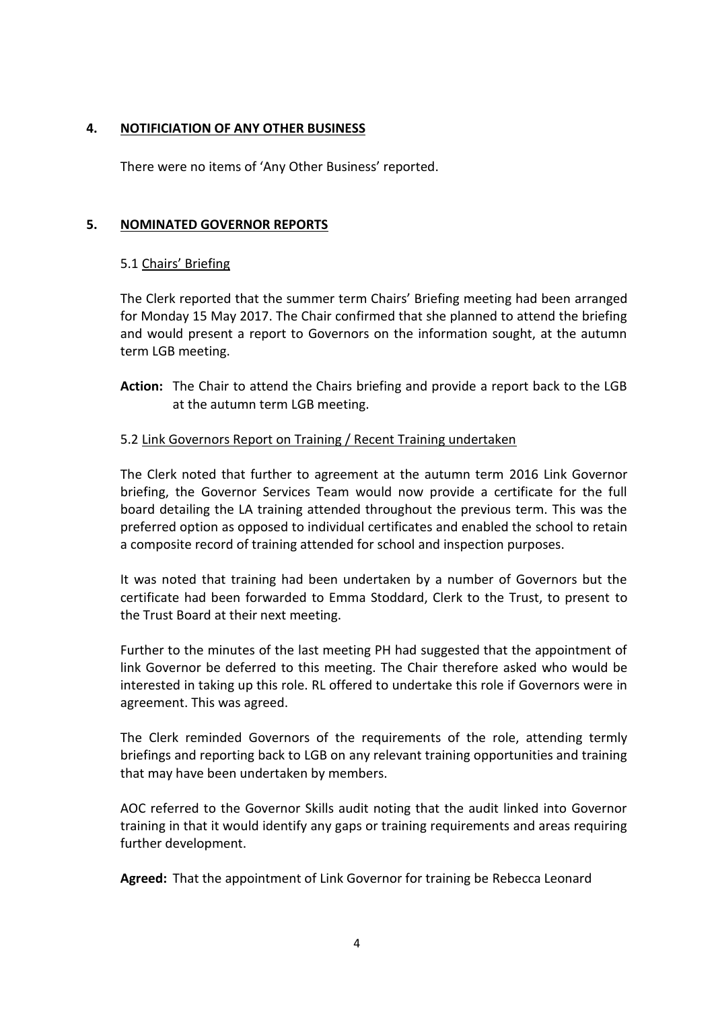#### **4. NOTIFICIATION OF ANY OTHER BUSINESS**

There were no items of 'Any Other Business' reported.

#### **5. NOMINATED GOVERNOR REPORTS**

#### 5.1 Chairs' Briefing

The Clerk reported that the summer term Chairs' Briefing meeting had been arranged for Monday 15 May 2017. The Chair confirmed that she planned to attend the briefing and would present a report to Governors on the information sought, at the autumn term LGB meeting.

**Action:** The Chair to attend the Chairs briefing and provide a report back to the LGB at the autumn term LGB meeting.

#### 5.2 Link Governors Report on Training / Recent Training undertaken

The Clerk noted that further to agreement at the autumn term 2016 Link Governor briefing, the Governor Services Team would now provide a certificate for the full board detailing the LA training attended throughout the previous term. This was the preferred option as opposed to individual certificates and enabled the school to retain a composite record of training attended for school and inspection purposes.

It was noted that training had been undertaken by a number of Governors but the certificate had been forwarded to Emma Stoddard, Clerk to the Trust, to present to the Trust Board at their next meeting.

Further to the minutes of the last meeting PH had suggested that the appointment of link Governor be deferred to this meeting. The Chair therefore asked who would be interested in taking up this role. RL offered to undertake this role if Governors were in agreement. This was agreed.

The Clerk reminded Governors of the requirements of the role, attending termly briefings and reporting back to LGB on any relevant training opportunities and training that may have been undertaken by members.

AOC referred to the Governor Skills audit noting that the audit linked into Governor training in that it would identify any gaps or training requirements and areas requiring further development.

**Agreed:** That the appointment of Link Governor for training be Rebecca Leonard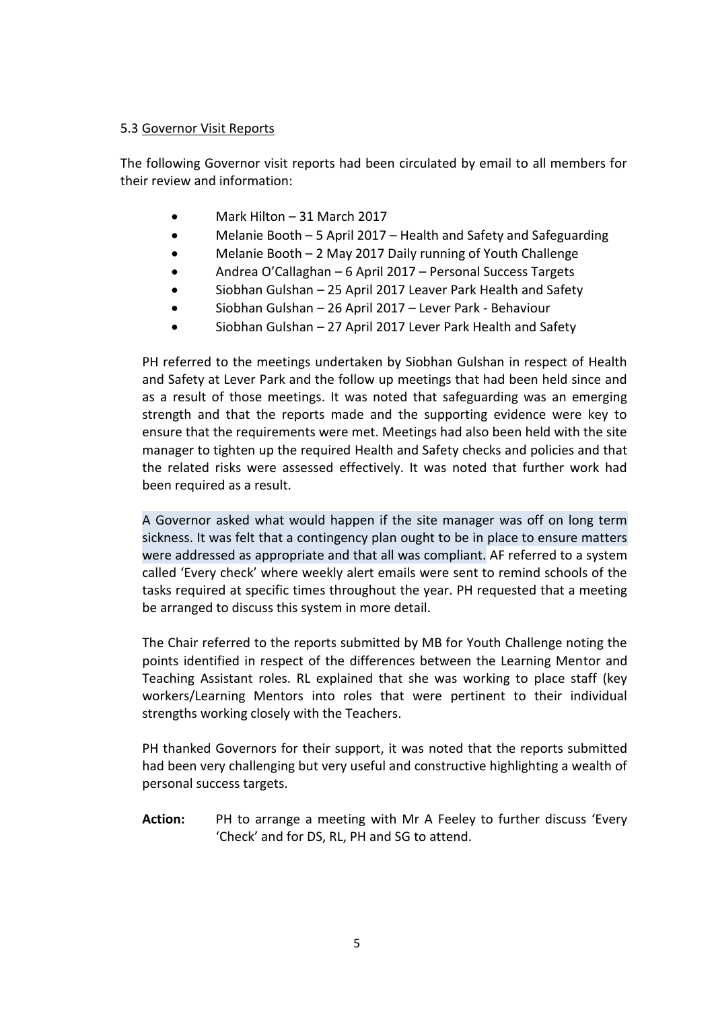#### 5.3 Governor Visit Reports

The following Governor visit reports had been circulated by email to all members for their review and information:

- Mark Hilton 31 March 2017
- Melanie Booth 5 April 2017 Health and Safety and Safeguarding
- Melanie Booth 2 May 2017 Daily running of Youth Challenge
- Andrea O'Callaghan 6 April 2017 Personal Success Targets
- Siobhan Gulshan 25 April 2017 Leaver Park Health and Safety
- Siobhan Gulshan 26 April 2017 Lever Park Behaviour
- Siobhan Gulshan 27 April 2017 Lever Park Health and Safety

PH referred to the meetings undertaken by Siobhan Gulshan in respect of Health and Safety at Lever Park and the follow up meetings that had been held since and as a result of those meetings. It was noted that safeguarding was an emerging strength and that the reports made and the supporting evidence were key to ensure that the requirements were met. Meetings had also been held with the site manager to tighten up the required Health and Safety checks and policies and that the related risks were assessed effectively. It was noted that further work had been required as a result.

A Governor asked what would happen if the site manager was off on long term sickness. It was felt that a contingency plan ought to be in place to ensure matters were addressed as appropriate and that all was compliant. AF referred to a system called 'Every check' where weekly alert emails were sent to remind schools of the tasks required at specific times throughout the year. PH requested that a meeting be arranged to discuss this system in more detail.

The Chair referred to the reports submitted by MB for Youth Challenge noting the points identified in respect of the differences between the Learning Mentor and Teaching Assistant roles. RL explained that she was working to place staff (key workers/Learning Mentors into roles that were pertinent to their individual strengths working closely with the Teachers.

PH thanked Governors for their support, it was noted that the reports submitted had been very challenging but very useful and constructive highlighting a wealth of personal success targets.

**Action:** PH to arrange a meeting with Mr A Feeley to further discuss 'Every 'Check' and for DS, RL, PH and SG to attend.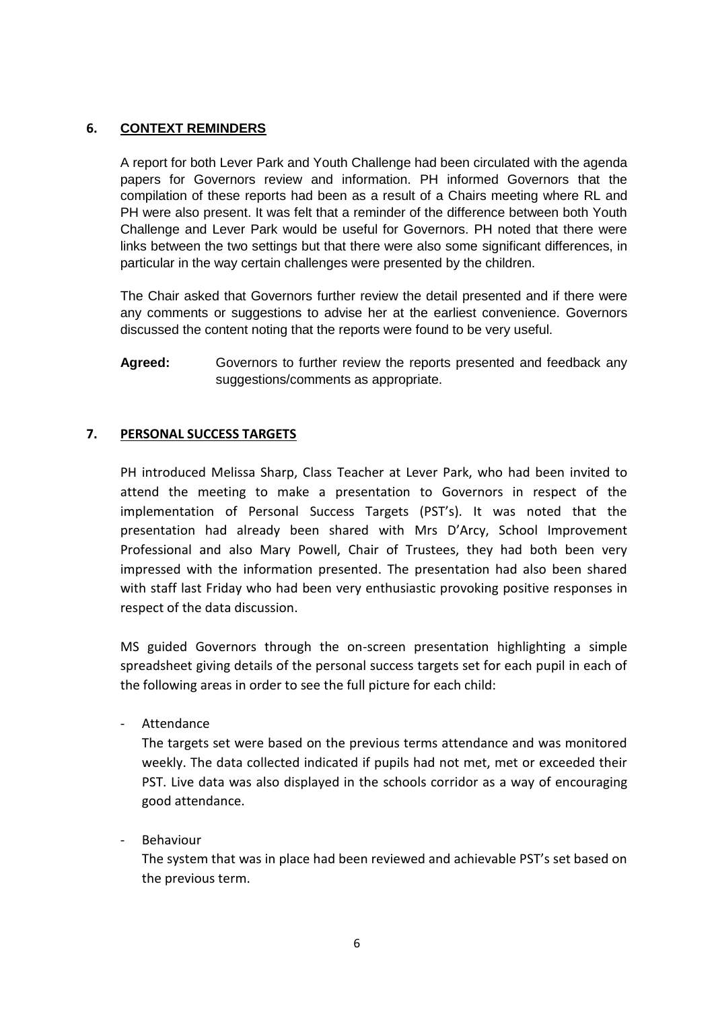#### **6. CONTEXT REMINDERS**

A report for both Lever Park and Youth Challenge had been circulated with the agenda papers for Governors review and information. PH informed Governors that the compilation of these reports had been as a result of a Chairs meeting where RL and PH were also present. It was felt that a reminder of the difference between both Youth Challenge and Lever Park would be useful for Governors. PH noted that there were links between the two settings but that there were also some significant differences, in particular in the way certain challenges were presented by the children.

The Chair asked that Governors further review the detail presented and if there were any comments or suggestions to advise her at the earliest convenience. Governors discussed the content noting that the reports were found to be very useful.

**Agreed:** Governors to further review the reports presented and feedback any suggestions/comments as appropriate.

## **7. PERSONAL SUCCESS TARGETS**

PH introduced Melissa Sharp, Class Teacher at Lever Park, who had been invited to attend the meeting to make a presentation to Governors in respect of the implementation of Personal Success Targets (PST's). It was noted that the presentation had already been shared with Mrs D'Arcy, School Improvement Professional and also Mary Powell, Chair of Trustees, they had both been very impressed with the information presented. The presentation had also been shared with staff last Friday who had been very enthusiastic provoking positive responses in respect of the data discussion.

MS guided Governors through the on-screen presentation highlighting a simple spreadsheet giving details of the personal success targets set for each pupil in each of the following areas in order to see the full picture for each child:

**Attendance** 

The targets set were based on the previous terms attendance and was monitored weekly. The data collected indicated if pupils had not met, met or exceeded their PST. Live data was also displayed in the schools corridor as a way of encouraging good attendance.

**Behaviour** 

The system that was in place had been reviewed and achievable PST's set based on the previous term.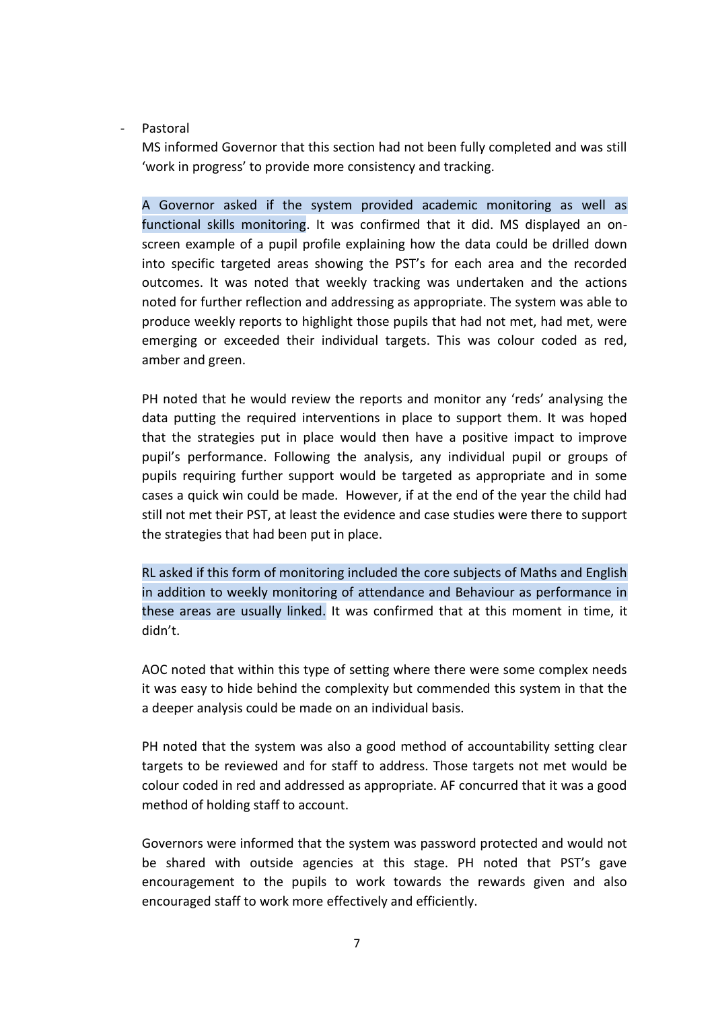**Pastoral** 

MS informed Governor that this section had not been fully completed and was still 'work in progress' to provide more consistency and tracking.

A Governor asked if the system provided academic monitoring as well as functional skills monitoring. It was confirmed that it did. MS displayed an onscreen example of a pupil profile explaining how the data could be drilled down into specific targeted areas showing the PST's for each area and the recorded outcomes. It was noted that weekly tracking was undertaken and the actions noted for further reflection and addressing as appropriate. The system was able to produce weekly reports to highlight those pupils that had not met, had met, were emerging or exceeded their individual targets. This was colour coded as red, amber and green.

PH noted that he would review the reports and monitor any 'reds' analysing the data putting the required interventions in place to support them. It was hoped that the strategies put in place would then have a positive impact to improve pupil's performance. Following the analysis, any individual pupil or groups of pupils requiring further support would be targeted as appropriate and in some cases a quick win could be made. However, if at the end of the year the child had still not met their PST, at least the evidence and case studies were there to support the strategies that had been put in place.

RL asked if this form of monitoring included the core subjects of Maths and English in addition to weekly monitoring of attendance and Behaviour as performance in these areas are usually linked. It was confirmed that at this moment in time, it didn't.

AOC noted that within this type of setting where there were some complex needs it was easy to hide behind the complexity but commended this system in that the a deeper analysis could be made on an individual basis.

PH noted that the system was also a good method of accountability setting clear targets to be reviewed and for staff to address. Those targets not met would be colour coded in red and addressed as appropriate. AF concurred that it was a good method of holding staff to account.

Governors were informed that the system was password protected and would not be shared with outside agencies at this stage. PH noted that PST's gave encouragement to the pupils to work towards the rewards given and also encouraged staff to work more effectively and efficiently.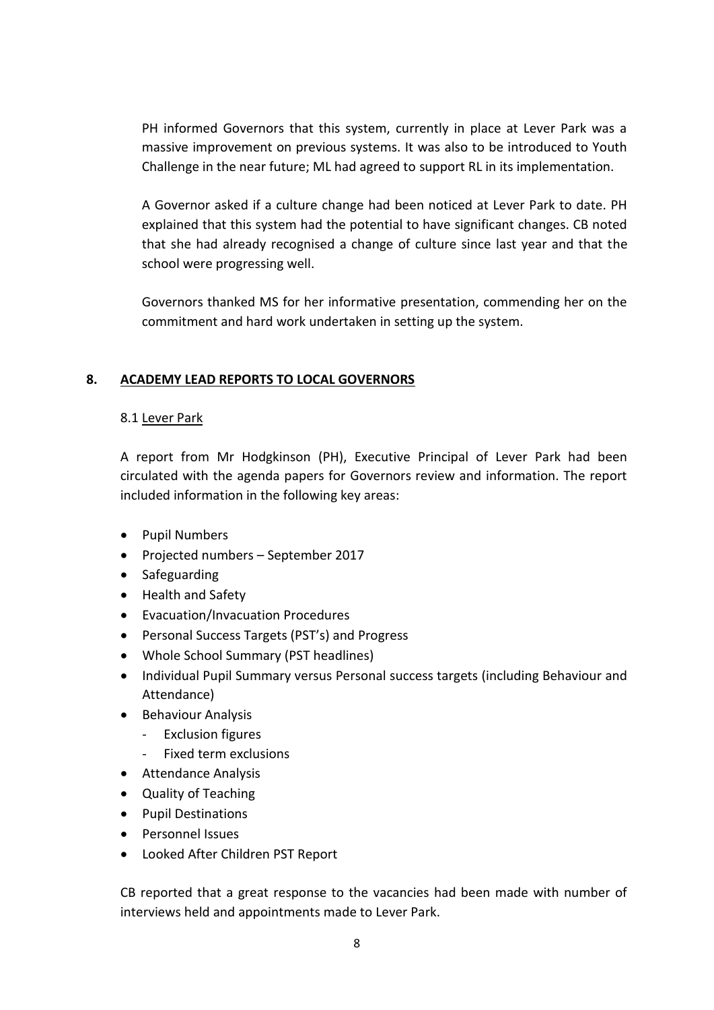PH informed Governors that this system, currently in place at Lever Park was a massive improvement on previous systems. It was also to be introduced to Youth Challenge in the near future; ML had agreed to support RL in its implementation.

A Governor asked if a culture change had been noticed at Lever Park to date. PH explained that this system had the potential to have significant changes. CB noted that she had already recognised a change of culture since last year and that the school were progressing well.

Governors thanked MS for her informative presentation, commending her on the commitment and hard work undertaken in setting up the system.

## **8. ACADEMY LEAD REPORTS TO LOCAL GOVERNORS**

## 8.1 Lever Park

A report from Mr Hodgkinson (PH), Executive Principal of Lever Park had been circulated with the agenda papers for Governors review and information. The report included information in the following key areas:

- Pupil Numbers
- Projected numbers September 2017
- Safeguarding
- Health and Safety
- Evacuation/Invacuation Procedures
- Personal Success Targets (PST's) and Progress
- Whole School Summary (PST headlines)
- Individual Pupil Summary versus Personal success targets (including Behaviour and Attendance)
- Behaviour Analysis
	- Exclusion figures
	- Fixed term exclusions
- Attendance Analysis
- Quality of Teaching
- Pupil Destinations
- Personnel Issues
- Looked After Children PST Report

CB reported that a great response to the vacancies had been made with number of interviews held and appointments made to Lever Park.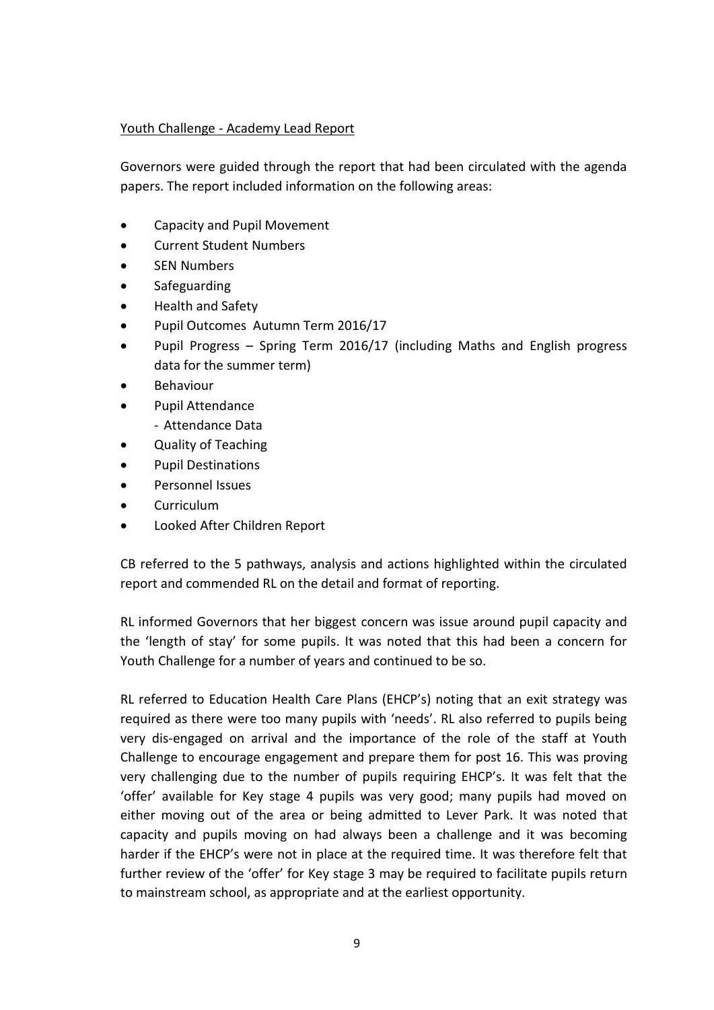#### Youth Challenge - Academy Lead Report

Governors were guided through the report that had been circulated with the agenda papers. The report included information on the following areas:

- Capacity and Pupil Movement
- Current Student Numbers
- SEN Numbers
- **Safeguarding**
- Health and Safety
- Pupil Outcomes Autumn Term 2016/17
- Pupil Progress Spring Term 2016/17 (including Maths and English progress data for the summer term)
- Behaviour
- Pupil Attendance
	- Attendance Data
- Quality of Teaching
- Pupil Destinations
- Personnel Issues
- Curriculum
- Looked After Children Report

CB referred to the 5 pathways, analysis and actions highlighted within the circulated report and commended RL on the detail and format of reporting.

RL informed Governors that her biggest concern was issue around pupil capacity and the 'length of stay' for some pupils. It was noted that this had been a concern for Youth Challenge for a number of years and continued to be so.

RL referred to Education Health Care Plans (EHCP's) noting that an exit strategy was required as there were too many pupils with 'needs'. RL also referred to pupils being very dis-engaged on arrival and the importance of the role of the staff at Youth Challenge to encourage engagement and prepare them for post 16. This was proving very challenging due to the number of pupils requiring EHCP's. It was felt that the 'offer' available for Key stage 4 pupils was very good; many pupils had moved on either moving out of the area or being admitted to Lever Park. It was noted that capacity and pupils moving on had always been a challenge and it was becoming harder if the EHCP's were not in place at the required time. It was therefore felt that further review of the 'offer' for Key stage 3 may be required to facilitate pupils return to mainstream school, as appropriate and at the earliest opportunity.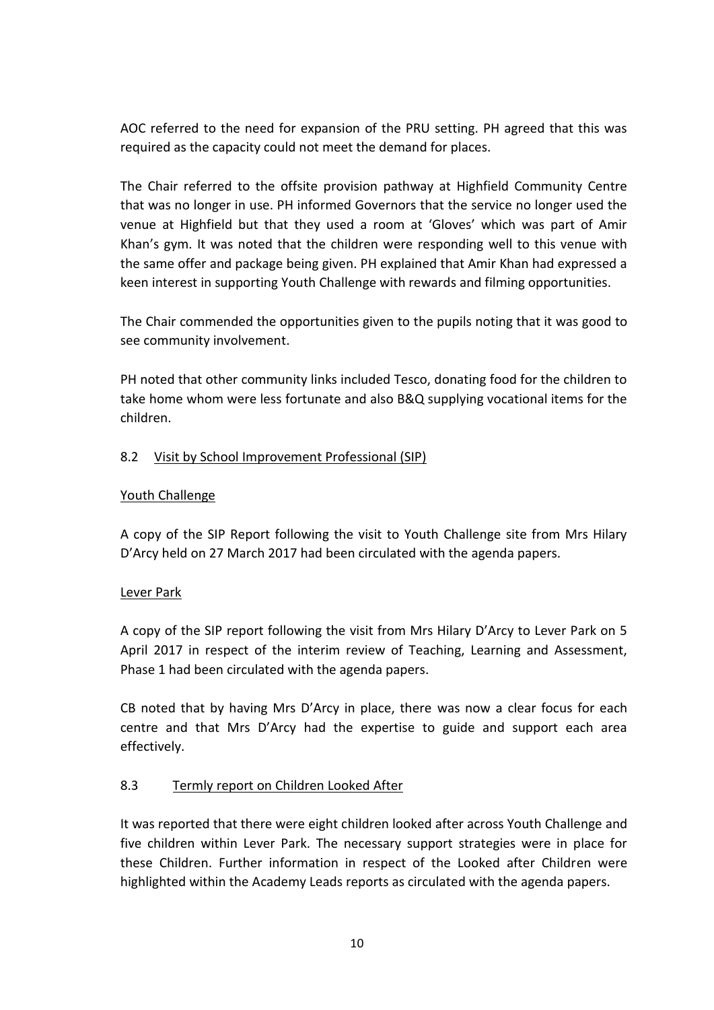AOC referred to the need for expansion of the PRU setting. PH agreed that this was required as the capacity could not meet the demand for places.

The Chair referred to the offsite provision pathway at Highfield Community Centre that was no longer in use. PH informed Governors that the service no longer used the venue at Highfield but that they used a room at 'Gloves' which was part of Amir Khan's gym. It was noted that the children were responding well to this venue with the same offer and package being given. PH explained that Amir Khan had expressed a keen interest in supporting Youth Challenge with rewards and filming opportunities.

The Chair commended the opportunities given to the pupils noting that it was good to see community involvement.

PH noted that other community links included Tesco, donating food for the children to take home whom were less fortunate and also B&Q supplying vocational items for the children.

# 8.2 Visit by School Improvement Professional (SIP)

## Youth Challenge

A copy of the SIP Report following the visit to Youth Challenge site from Mrs Hilary D'Arcy held on 27 March 2017 had been circulated with the agenda papers.

## Lever Park

A copy of the SIP report following the visit from Mrs Hilary D'Arcy to Lever Park on 5 April 2017 in respect of the interim review of Teaching, Learning and Assessment, Phase 1 had been circulated with the agenda papers.

CB noted that by having Mrs D'Arcy in place, there was now a clear focus for each centre and that Mrs D'Arcy had the expertise to guide and support each area effectively.

## 8.3 Termly report on Children Looked After

It was reported that there were eight children looked after across Youth Challenge and five children within Lever Park. The necessary support strategies were in place for these Children. Further information in respect of the Looked after Children were highlighted within the Academy Leads reports as circulated with the agenda papers.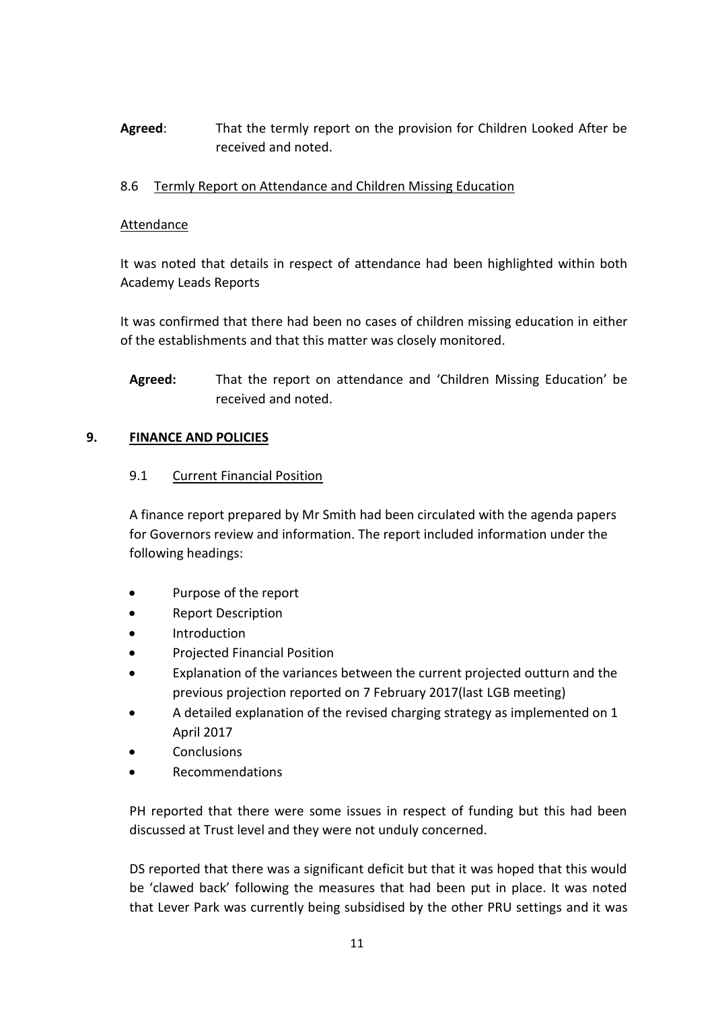**Agreed**: That the termly report on the provision for Children Looked After be received and noted.

# 8.6 Termly Report on Attendance and Children Missing Education

#### Attendance

It was noted that details in respect of attendance had been highlighted within both Academy Leads Reports

It was confirmed that there had been no cases of children missing education in either of the establishments and that this matter was closely monitored.

**Agreed:** That the report on attendance and 'Children Missing Education' be received and noted.

## **9. FINANCE AND POLICIES**

#### 9.1 Current Financial Position

A finance report prepared by Mr Smith had been circulated with the agenda papers for Governors review and information. The report included information under the following headings:

- Purpose of the report
- Report Description
- Introduction
- Projected Financial Position
- Explanation of the variances between the current projected outturn and the previous projection reported on 7 February 2017(last LGB meeting)
- A detailed explanation of the revised charging strategy as implemented on 1 April 2017
- Conclusions
- Recommendations

PH reported that there were some issues in respect of funding but this had been discussed at Trust level and they were not unduly concerned.

DS reported that there was a significant deficit but that it was hoped that this would be 'clawed back' following the measures that had been put in place. It was noted that Lever Park was currently being subsidised by the other PRU settings and it was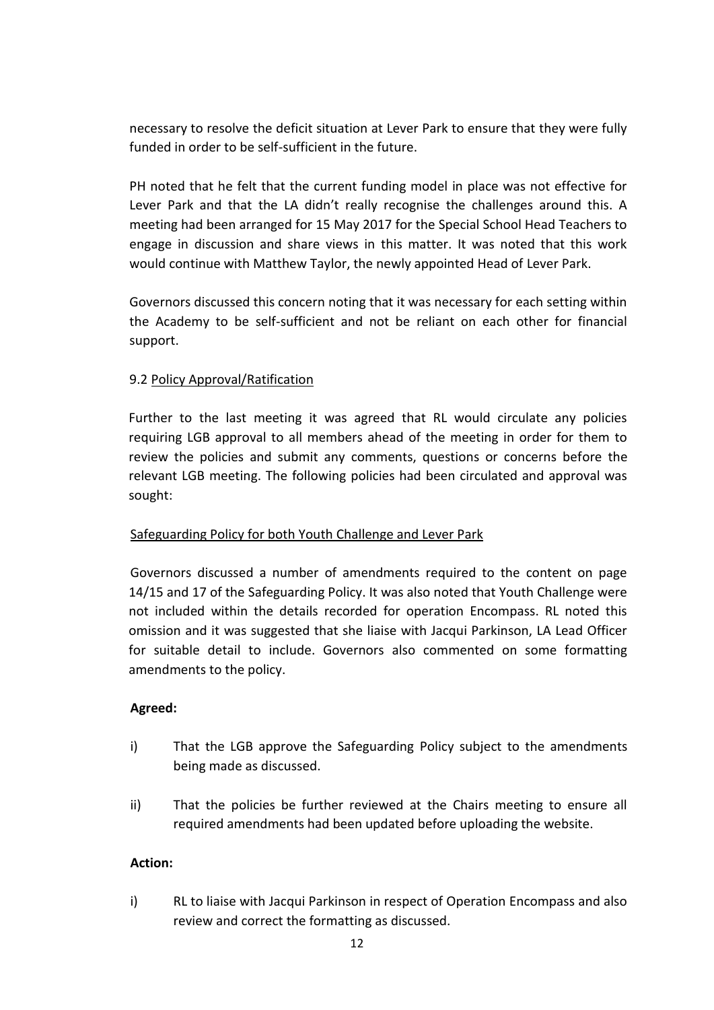necessary to resolve the deficit situation at Lever Park to ensure that they were fully funded in order to be self-sufficient in the future.

PH noted that he felt that the current funding model in place was not effective for Lever Park and that the LA didn't really recognise the challenges around this. A meeting had been arranged for 15 May 2017 for the Special School Head Teachers to engage in discussion and share views in this matter. It was noted that this work would continue with Matthew Taylor, the newly appointed Head of Lever Park.

Governors discussed this concern noting that it was necessary for each setting within the Academy to be self-sufficient and not be reliant on each other for financial support.

## 9.2 Policy Approval/Ratification

Further to the last meeting it was agreed that RL would circulate any policies requiring LGB approval to all members ahead of the meeting in order for them to review the policies and submit any comments, questions or concerns before the relevant LGB meeting. The following policies had been circulated and approval was sought:

## Safeguarding Policy for both Youth Challenge and Lever Park

Governors discussed a number of amendments required to the content on page 14/15 and 17 of the Safeguarding Policy. It was also noted that Youth Challenge were not included within the details recorded for operation Encompass. RL noted this omission and it was suggested that she liaise with Jacqui Parkinson, LA Lead Officer for suitable detail to include. Governors also commented on some formatting amendments to the policy.

## **Agreed:**

- i) That the LGB approve the Safeguarding Policy subject to the amendments being made as discussed.
- ii) That the policies be further reviewed at the Chairs meeting to ensure all required amendments had been updated before uploading the website.

## **Action:**

i) RL to liaise with Jacqui Parkinson in respect of Operation Encompass and also review and correct the formatting as discussed.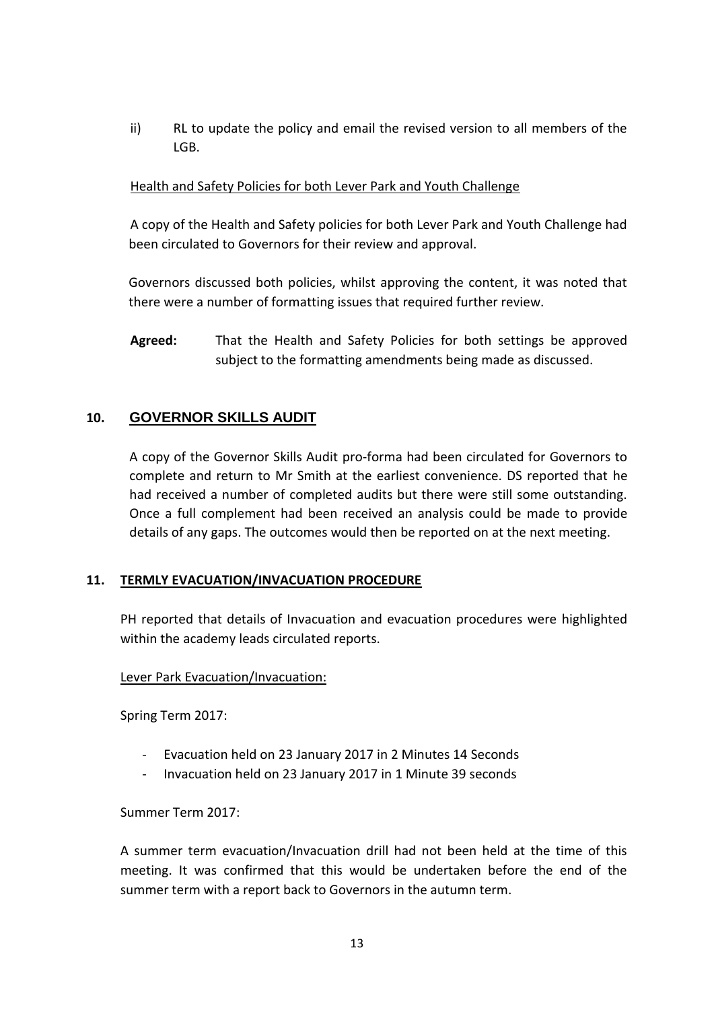ii) RL to update the policy and email the revised version to all members of the LGB.

#### Health and Safety Policies for both Lever Park and Youth Challenge

A copy of the Health and Safety policies for both Lever Park and Youth Challenge had been circulated to Governors for their review and approval.

Governors discussed both policies, whilst approving the content, it was noted that there were a number of formatting issues that required further review.

**Agreed:** That the Health and Safety Policies for both settings be approved subject to the formatting amendments being made as discussed.

# **10. GOVERNOR SKILLS AUDIT**

A copy of the Governor Skills Audit pro-forma had been circulated for Governors to complete and return to Mr Smith at the earliest convenience. DS reported that he had received a number of completed audits but there were still some outstanding. Once a full complement had been received an analysis could be made to provide details of any gaps. The outcomes would then be reported on at the next meeting.

## **11. TERMLY EVACUATION/INVACUATION PROCEDURE**

PH reported that details of Invacuation and evacuation procedures were highlighted within the academy leads circulated reports.

#### Lever Park Evacuation/Invacuation:

Spring Term 2017:

- Evacuation held on 23 January 2017 in 2 Minutes 14 Seconds
- Invacuation held on 23 January 2017 in 1 Minute 39 seconds

Summer Term 2017:

A summer term evacuation/Invacuation drill had not been held at the time of this meeting. It was confirmed that this would be undertaken before the end of the summer term with a report back to Governors in the autumn term.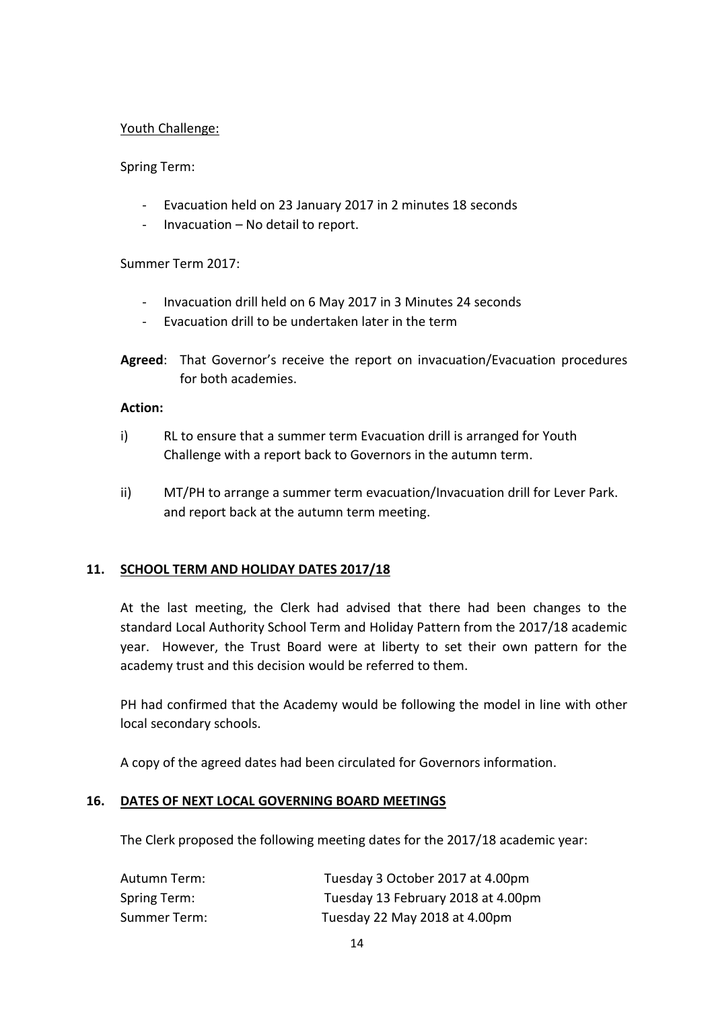#### Youth Challenge:

#### Spring Term:

- Evacuation held on 23 January 2017 in 2 minutes 18 seconds
- Invacuation No detail to report.

Summer Term 2017:

- Invacuation drill held on 6 May 2017 in 3 Minutes 24 seconds
- Evacuation drill to be undertaken later in the term
- **Agreed**: That Governor's receive the report on invacuation/Evacuation procedures for both academies.

#### **Action:**

- i) RL to ensure that a summer term Evacuation drill is arranged for Youth Challenge with a report back to Governors in the autumn term.
- ii) MT/PH to arrange a summer term evacuation/Invacuation drill for Lever Park. and report back at the autumn term meeting.

#### **11. SCHOOL TERM AND HOLIDAY DATES 2017/18**

At the last meeting, the Clerk had advised that there had been changes to the standard Local Authority School Term and Holiday Pattern from the 2017/18 academic year. However, the Trust Board were at liberty to set their own pattern for the academy trust and this decision would be referred to them.

PH had confirmed that the Academy would be following the model in line with other local secondary schools.

A copy of the agreed dates had been circulated for Governors information.

#### **16. DATES OF NEXT LOCAL GOVERNING BOARD MEETINGS**

The Clerk proposed the following meeting dates for the 2017/18 academic year:

| Autumn Term: | Tuesday 3 October 2017 at 4.00pm   |
|--------------|------------------------------------|
| Spring Term: | Tuesday 13 February 2018 at 4.00pm |
| Summer Term: | Tuesday 22 May 2018 at 4.00pm      |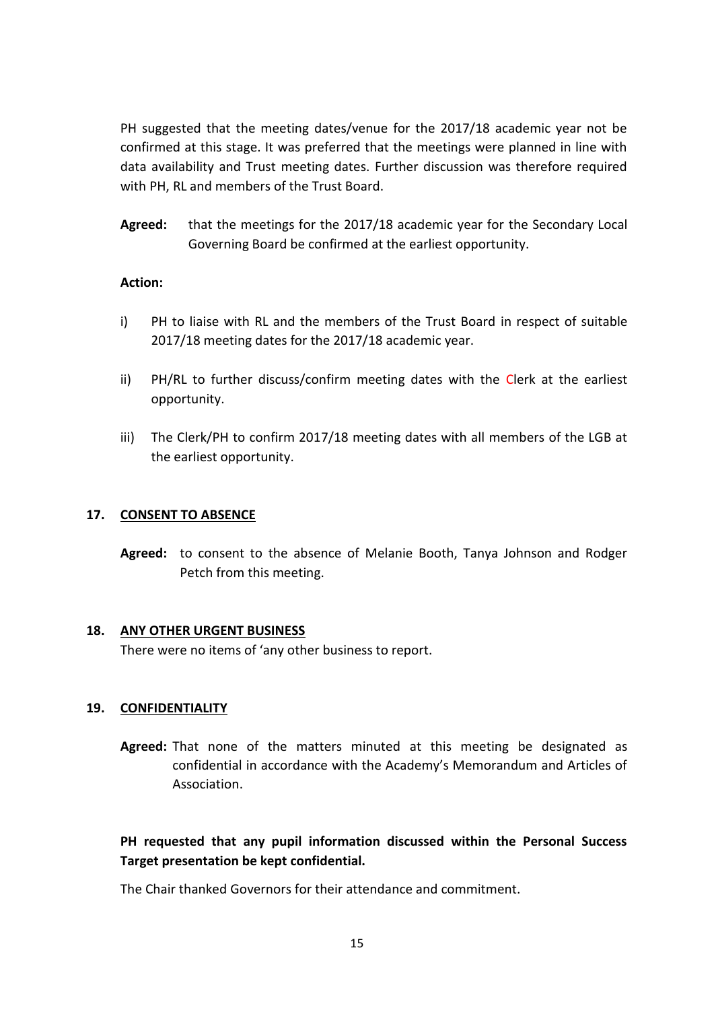PH suggested that the meeting dates/venue for the 2017/18 academic year not be confirmed at this stage. It was preferred that the meetings were planned in line with data availability and Trust meeting dates. Further discussion was therefore required with PH, RL and members of the Trust Board.

**Agreed:** that the meetings for the 2017/18 academic year for the Secondary Local Governing Board be confirmed at the earliest opportunity.

#### **Action:**

- i) PH to liaise with RL and the members of the Trust Board in respect of suitable 2017/18 meeting dates for the 2017/18 academic year.
- ii) PH/RL to further discuss/confirm meeting dates with the Clerk at the earliest opportunity.
- iii) The Clerk/PH to confirm 2017/18 meeting dates with all members of the LGB at the earliest opportunity.

## **17. CONSENT TO ABSENCE**

**Agreed:** to consent to the absence of Melanie Booth, Tanya Johnson and Rodger Petch from this meeting.

#### **18. ANY OTHER URGENT BUSINESS**

There were no items of 'any other business to report.

## **19. CONFIDENTIALITY**

**Agreed:** That none of the matters minuted at this meeting be designated as confidential in accordance with the Academy's Memorandum and Articles of Association.

# **PH requested that any pupil information discussed within the Personal Success Target presentation be kept confidential.**

The Chair thanked Governors for their attendance and commitment.